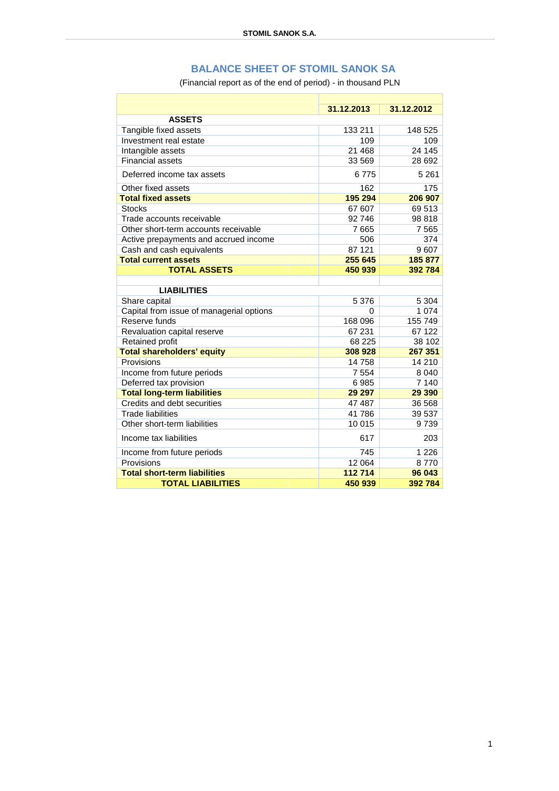## **BALANCE SHEET OF STOMIL SANOK SA**

(Financial report as of the end of period) - in thousand PLN

|                                          | 31.12.2013 | 31.12.2012 |  |  |
|------------------------------------------|------------|------------|--|--|
| <b>ASSETS</b>                            |            |            |  |  |
| Tangible fixed assets                    | 133 211    | 148 525    |  |  |
| Investment real estate                   | 109        | 109        |  |  |
| Intangible assets                        | 21 4 68    | 24 145     |  |  |
| <b>Financial assets</b>                  | 33 569     | 28 692     |  |  |
| Deferred income tax assets               | 6775       | 5 2 6 1    |  |  |
| Other fixed assets                       | 162        | 175        |  |  |
| <b>Total fixed assets</b>                | 195 294    | 206 907    |  |  |
| <b>Stocks</b>                            | 67 607     | 69 513     |  |  |
| Trade accounts receivable                | 92 746     | 98 818     |  |  |
| Other short-term accounts receivable     | 7665       | 7565       |  |  |
| Active prepayments and accrued income    | 506        | 374        |  |  |
| Cash and cash equivalents                | 87 121     | 9607       |  |  |
| <b>Total current assets</b>              | 255 645    | 185 877    |  |  |
| <b>TOTAL ASSETS</b>                      | 450 939    | 392784     |  |  |
|                                          |            |            |  |  |
| <b>LIABILITIES</b>                       |            |            |  |  |
| Share capital                            | 5 3 7 6    | 5 3 0 4    |  |  |
| Capital from issue of managerial options | 0          | 1 0 7 4    |  |  |
| Reserve funds                            | 168 096    | 155 749    |  |  |
| Revaluation capital reserve              | 67 231     | 67 122     |  |  |
| <b>Retained profit</b>                   | 68 225     | 38 102     |  |  |
| <b>Total shareholders' equity</b>        | 308 928    | 267 351    |  |  |
| Provisions                               | 14758      | 14 210     |  |  |
| Income from future periods               | 7 5 5 4    | 8 0 4 0    |  |  |
| Deferred tax provision                   | 6985       | 7 140      |  |  |
| <b>Total long-term liabilities</b>       | 29 297     | 29 390     |  |  |
| Credits and debt securities              | 47 487     | 36 568     |  |  |
| <b>Trade liabilities</b>                 | 41786      | 39 537     |  |  |
| Other short-term liabilities             | 10 015     | 9739       |  |  |
| Income tax liabilities                   | 617        | 203        |  |  |
| Income from future periods               | 745        | 1 2 2 6    |  |  |
| Provisions                               | 12 0 64    | 8770       |  |  |
| <b>Total short-term liabilities</b>      | 112714     | 96 043     |  |  |
| <b>TOTAL LIABILITIES</b>                 | 450 939    | 392784     |  |  |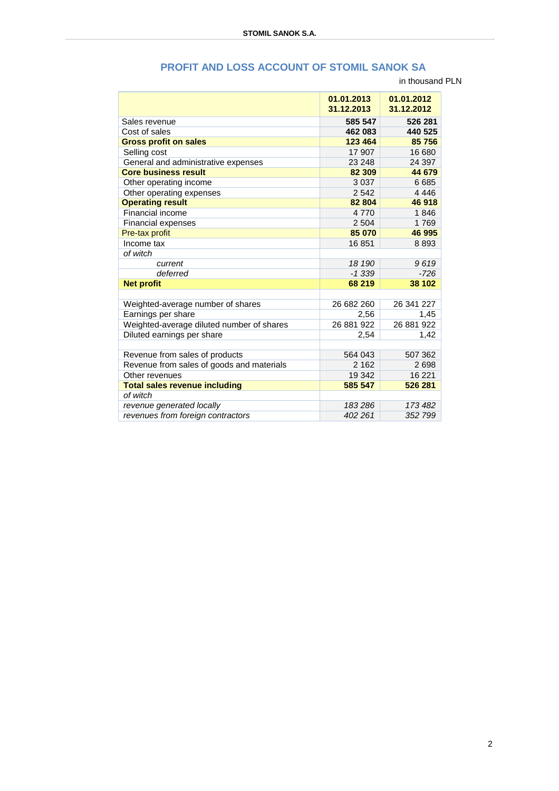## **PROFIT AND LOSS ACCOUNT OF STOMIL SANOK SA**

in thousand PLN

|                                           | 01.01.2013<br>31.12.2013 | 01.01.2012<br>31.12.2012 |
|-------------------------------------------|--------------------------|--------------------------|
| Sales revenue                             | 585 547                  | 526 281                  |
| Cost of sales                             | 462 083                  | 440 525                  |
| <b>Gross profit on sales</b>              | 123 464                  | 85 756                   |
| Selling cost                              | 17 907                   | 16 680                   |
| General and administrative expenses       | 23 248                   | 24 397                   |
| <b>Core business result</b>               | 82 309                   | 44 679                   |
| Other operating income                    | 3 0 3 7                  | 6685                     |
| Other operating expenses                  | 2542                     | 4 4 4 6                  |
| <b>Operating result</b>                   | 82 804                   | 46 918                   |
| Financial income                          | 4770                     | 1846                     |
| <b>Financial expenses</b>                 | 2 5 0 4                  | 1769                     |
| Pre-tax profit                            | 85 070                   | 46 995                   |
| Income tax                                | 16851                    | 8893                     |
| of witch                                  |                          |                          |
| current                                   | 18 190                   | 9619                     |
| deferred                                  | $-1.339$                 | $-726$                   |
| <b>Net profit</b>                         | 68 219                   | 38 102                   |
|                                           |                          |                          |
| Weighted-average number of shares         | 26 682 260               | 26 341 227               |
| Earnings per share                        | 2,56                     | 1,45                     |
| Weighted-average diluted number of shares | 26 881 922               | 26 881 922               |
| Diluted earnings per share                | 2,54                     | 1,42                     |
|                                           |                          |                          |
| Revenue from sales of products            | 564 043                  | 507 362                  |
| Revenue from sales of goods and materials | 2 1 6 2                  | 2698                     |
| Other revenues                            | 19 342                   | 16 221                   |
| <b>Total sales revenue including</b>      | 585 547                  | 526 281                  |
| of witch                                  |                          |                          |
| revenue generated locally                 | 183286                   | 173 482                  |
| revenues from foreign contractors         | 402 261                  | 352 799                  |